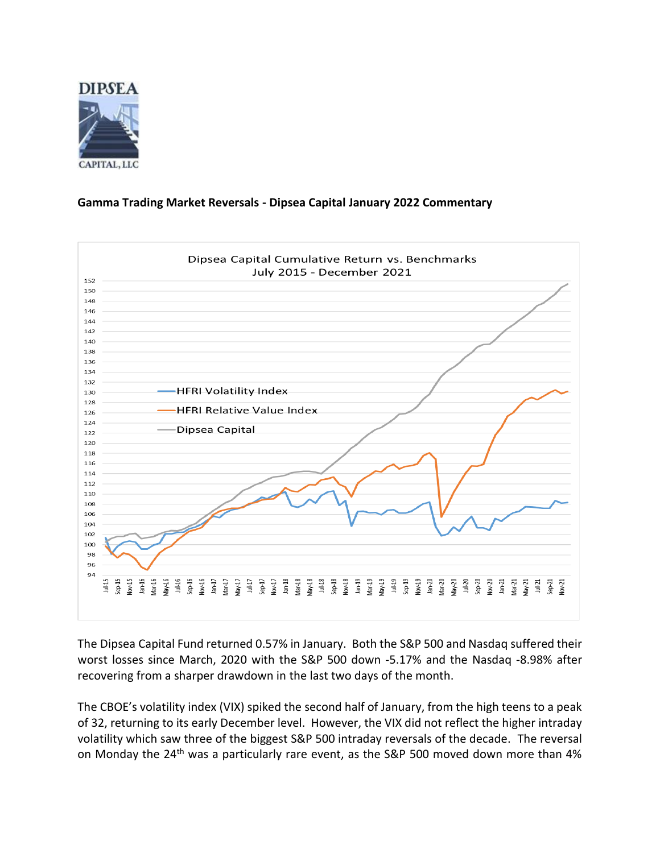

## **Gamma Trading Market Reversals - Dipsea Capital January 2022 Commentary**



The Dipsea Capital Fund returned 0.57% in January. Both the S&P 500 and Nasdaq suffered their worst losses since March, 2020 with the S&P 500 down -5.17% and the Nasdaq -8.98% after recovering from a sharper drawdown in the last two days of the month.

The CBOE's volatility index (VIX) spiked the second half of January, from the high teens to a peak of 32, returning to its early December level. However, the VIX did not reflect the higher intraday volatility which saw three of the biggest S&P 500 intraday reversals of the decade. The reversal on Monday the 24<sup>th</sup> was a particularly rare event, as the S&P 500 moved down more than 4%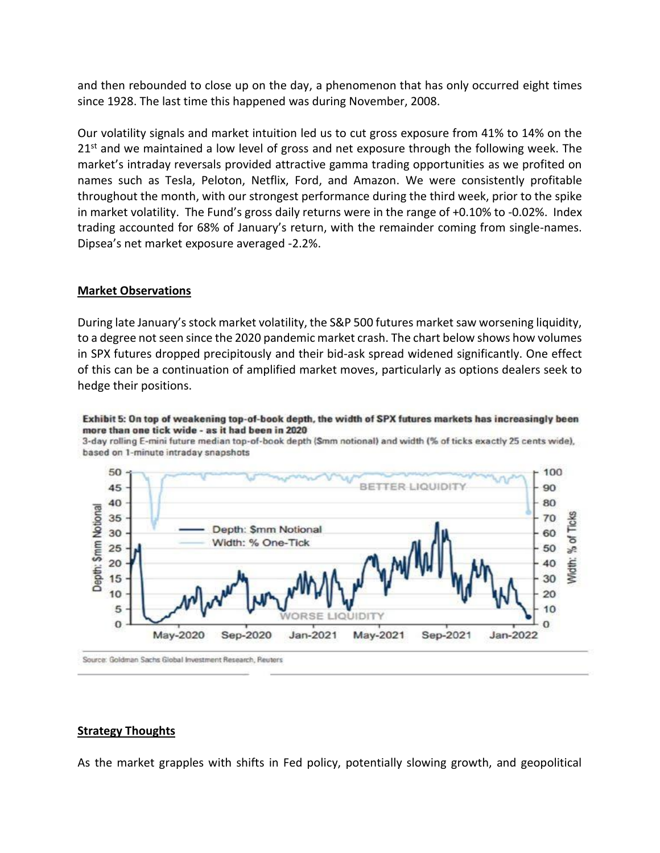and then rebounded to close up on the day, a phenomenon that has only occurred eight times since 1928. The last time this happened was during November, 2008.

Our volatility signals and market intuition led us to cut gross exposure from 41% to 14% on the  $21<sup>st</sup>$  and we maintained a low level of gross and net exposure through the following week. The market's intraday reversals provided attractive gamma trading opportunities as we profited on names such as Tesla, Peloton, Netflix, Ford, and Amazon. We were consistently profitable throughout the month, with our strongest performance during the third week, prior to the spike in market volatility. The Fund's gross daily returns were in the range of +0.10% to -0.02%. Index trading accounted for 68% of January's return, with the remainder coming from single-names. Dipsea's net market exposure averaged -2.2%.

## **Market Observations**

During late January's stock market volatility, the S&P 500 futures market saw worsening liquidity, to a degree not seen since the 2020 pandemic market crash. The chart below shows how volumes in SPX futures dropped precipitously and their bid-ask spread widened significantly. One effect of this can be a continuation of amplified market moves, particularly as options dealers seek to hedge their positions.

## Exhibit 5: On top of weakening top-of-book depth, the width of SPX futures markets has increasingly been more than one tick wide - as it had been in 2020

3-day rolling E-mini future median top-of-book depth (\$mm notional) and width (% of ticks exactly 25 cents wide), based on 1-minute intraday snapshots



## **Strategy Thoughts**

As the market grapples with shifts in Fed policy, potentially slowing growth, and geopolitical